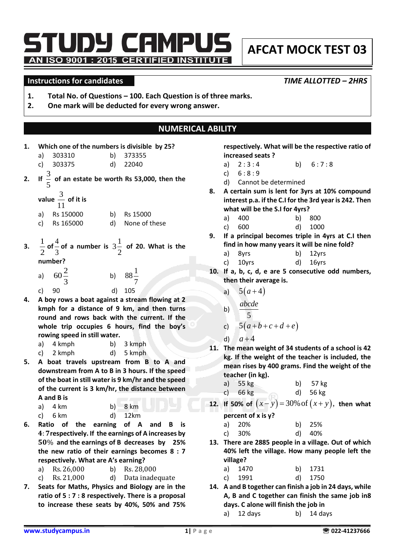TUDY CAMPUS AN ISO 9001 : 2015 CERTIFIED INSTITUTE

# **AFCAT MOCK TEST 03**

#### **Instructions for candidates** *TIME ALLOTTED – 2HRS*

- **1. Total No. of Questions – 100. Each Question is of three marks.**
- **2. One mark will be deducted for every wrong answer.**

## **NUMERICAL ABILITY**

**1. Which one of the numbers is divisible by 25?** 

|    | 1. VILICH OILE OF the numbers is divisible by 25: |    |                                                                                 |
|----|---------------------------------------------------|----|---------------------------------------------------------------------------------|
|    | a) 303310                                         |    | b) 373355                                                                       |
|    | c) 303375                                         |    | d) 22040                                                                        |
|    |                                                   |    | 2. If $\frac{3}{5}$ of an estate be worth Rs 53,000, then the                   |
|    | value $\frac{3}{11}$ of it is                     |    |                                                                                 |
|    | a) Rs 150000                                      |    | b) Rs 15000                                                                     |
|    | c) Rs 165000                                      |    | d) None of these                                                                |
| 3. | number?                                           |    | $\frac{1}{2}$ of $\frac{4}{3}$ of a number is $3\frac{1}{2}$ of 20. What is the |
|    | a) $60\frac{2}{3}$<br>c) 90                       |    | b) $88\frac{1}{7}$<br>d) 105                                                    |
|    |                                                   | d) |                                                                                 |

**4. A boy rows a boat against a stream flowing at 2 kmph for a distance of 9 km, and then turns round and rows back with the current. If the whole trip occupies 6 hours, find the boy's rowing speed in still water.** 

| a) 4 kmph   | b) 3 kmph |
|-------------|-----------|
| c) $2 kmph$ | d) 5 kmph |

**5. A boat travels upstream from B to A and downstream from A to B in 3 hours. If the speed of the boat in still water is 9 km/hr and the speed of the current is 3 km/hr, the distance between A and B is** 

| a) 4 km | $b)$ 8 km |
|---------|-----------|
| c) 6 km | d) 12km   |

- **6. Ratio of the earning of A and B is**  : **respectively. If the earnings of A increases by**  % **and the earnings of B decreases by 25% the new ratio of their earnings becomes 8 : 7 respectively. What are A's earning?**
	- a) Rs. 26,000 b) Rs. 28,000
	- c) Rs. 21,000 d) Data inadequate
- **7. Seats for Maths, Physics and Biology are in the ratio of 5 : 7 : 8 respectively. There is a proposal to increase these seats by 40%, 50% and 75%**

**respectively. What will be the respective ratio of increased seats ?**

- a)  $2:3:4$  b)  $6:7:8$
- c)  $6:8:9$
- d) Cannot be determined
- **8. A certain sum is lent for 3yrs at 10% compound interest p.a. if the C.I for the 3rd year is 242. Then what will be the S.I for 4yrs?** 
	- a) 400 b) 800
	- c) 600 d) 1000
- **9. If a principal becomes triple in 4yrs at C.I then find in how many years it will be nine fold?** 
	- a) 8yrs b) 12yrs

|  | c) 10yrs |  | d) 16yrs |
|--|----------|--|----------|
|--|----------|--|----------|

- **10. If a, b, c, d, e are 5 consecutive odd numbers, then their average is.**
	- a)  $5(a+4)$

b) 
$$
\frac{abcde}{5}
$$

c) 
$$
5(a+b+c+d+e)
$$

d) 
$$
a+4
$$

- **11. The mean weight of 34 students of a school is 42 kg. If the weight of the teacher is included, the mean rises by 400 grams. Find the weight of the teacher (in kg).**
	- a) 55 kg b) 57 kg
	- c) 66 kg d) 56 kg
- **12. If 50% of**  $(x y) = 30\%$  of  $(x + y)$ , then what **percent of x is y?**
	- a) 20% b) 25%
	- c) 30% d) 40%
- **13. There are 2885 people in a village. Out of which 40% left the village. How many people left the village?**
	- a) 1470 b) 1731

| c)<br>1991 |  | d) 1750 |
|------------|--|---------|
|------------|--|---------|

- **14. A and B together can finish a job in 24 days, while A, B and C together can finish the same job in8 days. C alone will finish the job in**
	- a) 12 days b) 14 days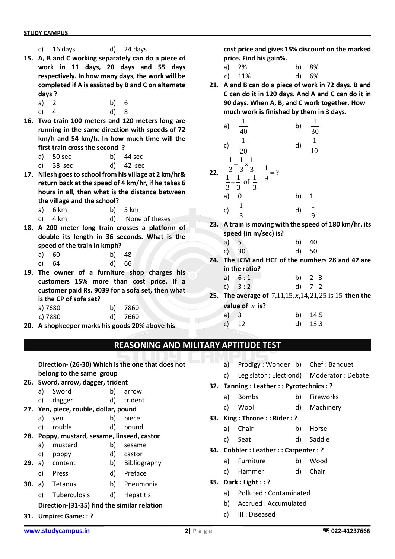- c) 16 days d) 24 days
- **15. A, B and C working separately can do a piece of work in 11 days, 20 days and 55 days respectively. In how many days, the work will be completed if A is assisted by B and C on alternate days ?**
	- a) 2 b) 6
	- c) 4 d) 8
- **16. Two train 100 meters and 120 meters long are running in the same direction with speeds of 72 km/h and 54 km/h. In how much time will the first train cross the second ?** 
	- a) 50 sec b) 44 sec
	- c) 38 sec d) 42 sec
- **17. Nilesh goes to school from his village at 2 km/hr& return back at the speed of 4 km/hr, if he takes 6 hours in all, then what is the distance between the village and the school?** 
	- a) 6 km b) 5 km
	- c) 4 km d) None of theses
- **18. A 200 meter long train crosses a platform of double its length in 36 seconds. What is the speed of the train in kmph?** 
	- a) 60 b) 48
	- c) 64 d) 66
- **19. The owner of a furniture shop charges his customers 15% more than cost price. If a customer paid Rs. 9039 for a sofa set, then what is the CP of sofa set?**

| a) 7680 | b) 7860 |
|---------|---------|
| c) 7880 | d) 7660 |

**20. A shopkeeper marks his goods 20% above his**

**cost price and gives 15% discount on the marked price. Find his gain%.** 

- a) 2% b) 8%
- c) 11% d) 6%
- **21. A and B can do a piece of work in 72 days. B and C can do it in 120 days. And A and C can do it in 90 days. When A, B, and C work together. How much work is finished by them in 3 days.**

a) 
$$
\frac{1}{40}
$$
 b)  $\frac{1}{30}$   
\nc)  $\frac{1}{20}$  d)  $\frac{1}{10}$   
\n22.  $\frac{\frac{1}{3} \div \frac{1}{3} \times \frac{1}{3}}{\frac{1}{3} \div \frac{1}{3} \text{ of } \frac{1}{3}} - \frac{1}{9} = ?$   
\na) 0 \nb) 1  
\nc)  $\frac{1}{3}$  d)  $\frac{1}{9}$ 

- **23. A train is moving with the speed of 180 km/hr. its speed (in m/sec) is?**
	- a) 5 b) 40
	- c) 30 d) 50
- **24. The LCM and HCF of the numbers 28 and 42 are in the ratio?**
	- a)  $6:1$  b)  $2:3$ c)  $3:2$  d)  $7:2$
- **25.** The average of  $7,11,15, x,14,21,25$  is 15 **then the value of**  *x* **is?**
	- a) 3 b) 14.5 c) 12 d) 13.3

## **REASONING AND MILITARY APTITUDE TEST**

**Direction- (26-30) Which is the one that does not belong to the same group**

- **26. Sword, arrow, dagger, trident**
	- a) Sword b) arrow
	- c) dagger d) trident
- **27. Yen, piece, rouble, dollar, pound** 
	- a) yen b) piece
	- c) rouble d) pound
- **28. Poppy, mustard, sesame, linseed, castor**
	- a) mustard b) sesame
	- c) poppy d) castor
- **29.** a) content b) Bibliography
	- c) Press d) Preface
- **30.** a) Tetanus b) Pneumonia
	- c) Tuberculosis d) Hepatitis

## **Direction-(31-35) find the similar relation**

**31. Umpire: Game: : ?**

- a) Prodigy : Wonder b) Chef : Banquet
- c) Legislator : Electiond) Moderator : Debate
- **32. Tanning : Leather : : Pyrotechnics : ?**
	- a) Bombs b) Fireworks
	- c) Wool d) Machinery
- **33. King : Throne : : Rider : ?**
	- a) Chair b) Horse
	- c) Seat d) Saddle
- **34. Cobbler : Leather : : Carpenter : ?**
	- a) Furniture b) Wood
	- c) Hammer d) Chair
- **35. Dark : Light : : ?**
	- a) Polluted : Contaminated
	- b) Accrued : Accumulated
	- c) III : Diseased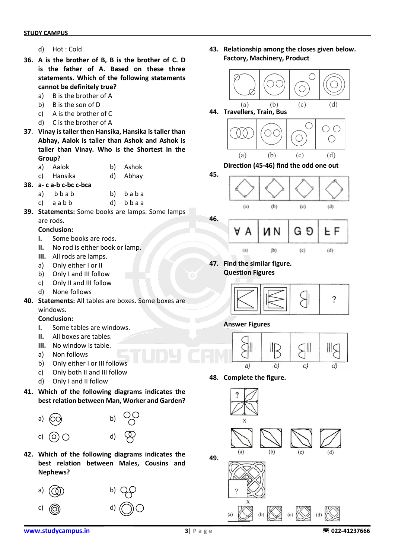- d) Hot : Cold
- **36. A is the brother of B, B is the brother of C. D is the father of A. Based on these three statements. Which of the following statements cannot be definitely true?**
	- a) B is the brother of A
	- b) B is the son of D
	- c) A is the brother of C
	- d) C is the brother of A
- **37**. **Vinay is taller then Hansika, Hansika is taller than Abhay, Aalok is taller than Ashok and Ashok is taller than Vinay. Who is the Shortest in the Group?**
	- a) Aalok b) Ashok
	- c) Hansika d) Abhay
- **38. a- c a-b c-bc c-bca** 
	- a) b b a b b) b a b a
	- c) a a b b d) b b a a
- **39. Statements:** Some books are lamps. Some lamps are rods.

#### **Conclusion:**

- **I.** Some books are rods.
- **II.** No rod is either book or lamp.
- **III.** All rods are lamps.
- a) Only either I or II
- b) Only I and III follow
- c) Only II and III follow
- d) None follows
- **40. Statements:** All tables are boxes. Some boxes are windows.

#### **Conclusion:**

- **I.** Some tables are windows.
- **II.** All boxes are tables.
- **III.** No window is table.
- a) Non follows
- b) Only either I or III follows
- c) Only both II and III follow
- d) Only I and II follow
- **41. Which of the following diagrams indicates the best relation between Man, Worker and Garden?**



**42. Which of the following diagrams indicates the best relation between Males, Cousins and Nephews?**



**43. Relationship among the closes given below. Factory, Machinery, Product**







**47. Find the similar figure. Question Figures**



## **Answer Figures**



**48. Complete the figure.**

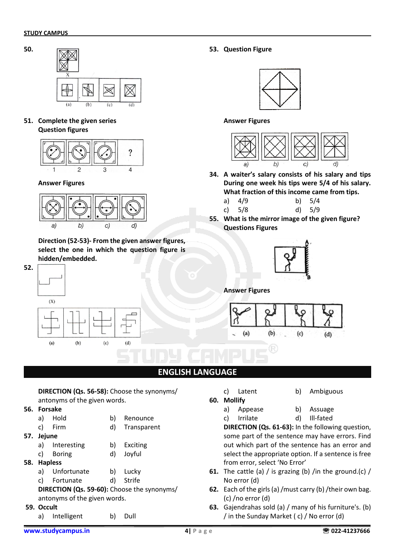**50.**



**51. Complete the given series Question figures**



#### **Answer Figures**



**Direction (52-53)- From the given answer figures, select the one in which the question figure is hidden/embedded.**



**53. Question Figure**



**Answer Figures**



**34. A waiter's salary consists of his salary and tips During one week his tips were 5/4 of his salary. What fraction of this income came from tips.**

| a) $4/9$ | b) $5/4$ |
|----------|----------|
| c) $5/8$ | d) 5/9   |

**55. What is the mirror image of the given figure? Questions Figures**



**Answer Figures**



## **ENGLISH LANGUAGE**

| DIRECTION (Qs. 56-58): Choose the synonyms/ |
|---------------------------------------------|
| antonyms of the given words.                |
| Forsake                                     |

- **56. Forsake** 
	- a) Hold b) Renounce c) Firm d) Transparent
	-
- **57. Jejune**
	- a) Interesting b) Exciting
	- c) Boring d) Joyful
- **58. Hapless**
	- a) Unfortunate b) Lucky
	- c) Fortunate d) Strife
	- **DIRECTION (Qs. 59-60):** Choose the synonyms/ antonyms of the given words.

### **59. Occult**

a) Intelligent b) Dull

- c) Latent b) Ambiguous
- **60. Mollify**
- 
- a) Appease b) Assuage c) Irrilate d) Ill-fated

**DIRECTION (Qs. 61-63):** In the following question, some part of the sentence may have errors. Find out which part of the sentence has an error and select the appropriate option. If a sentence is free from error, select 'No Error'

- **61.** The cattle (a) / is grazing (b) /in the ground.(c) / No error (d)
- **62.** Each of the girls (a) /must carry (b) /their own bag. (c) /no error (d)
- **63.** Gajendrahas sold (a) / many of his furniture's. (b) / in the Sunday Market ( c) / No error (d)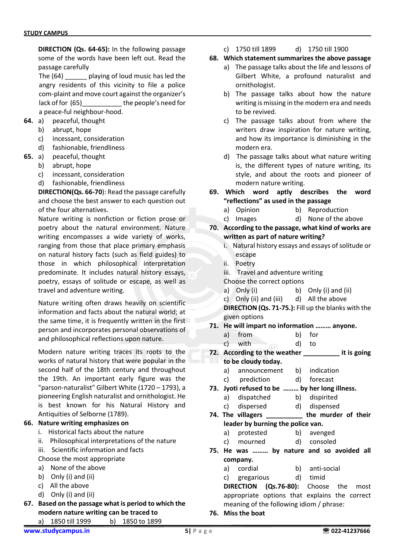**DIRECTION (Qs. 64-65):** In the following passage some of the words have been left out. Read the passage carefully

The (64) having of loud music has led the angry residents of this vicinity to file a police com-plaint and move court against the organizer's lack of for (65)\_\_\_\_\_\_\_\_\_\_\_ the people's need for a peace-ful neighbour-hood.

- **64.** a) peaceful, thought
	- b) abrupt, hope
	- c) incessant, consideration
	- d) fashionable, friendliness
- **65.** a) peaceful, thought
	- b) abrupt, hope
	- c) incessant, consideration
	- d) fashionable, friendliness

**DIRECTION(Qs. 66-70**): Read the passage carefully and choose the best answer to each question out of the four alternatives.

Nature writing is nonfiction or fiction prose or poetry about the natural environment. Nature writing encompasses a wide variety of works, ranging from those that place primary emphasis on natural history facts (such as field guides) to those in which philosophical interpretation predominate. It includes natural history essays, poetry, essays of solitude or escape, as well as travel and adventure writing.

Nature writing often draws heavily on scientific information and facts about the natural world; at the same time, it is frequently written in the first person and incorporates personal observations of and philosophical reflections upon nature.

Modern nature writing traces its roots to the works of natural history that were popular in the second half of the 18th century and throughout the 19th. An important early figure was the "parson-naturalist" Gilbert White (1720 – 1793), a pioneering English naturalist and ornithologist. He is best known for his Natural History and Antiquities of Selborne (1789).

#### **66. Nature writing emphasizes on**

- i. Historical facts about the nature
- ii. Philosophical interpretations of the nature
- iii. Scientific information and facts Choose the most appropriate
- a) None of the above
- b) Only (i) and (ii)
- c) All the above
- d) Only (i) and (ii)
- **67. Based on the passage what is period to which the modern nature writing can be traced to** a) 1850 till 1999 b) 1850 to 1899

c) 1750 till 1899 d) 1750 till 1900

#### **68. Which statement summarizes the above passage**

- a) The passage talks about the life and lessons of Gilbert White, a profound naturalist and ornithologist.
- b) The passage talks about how the nature writing is missing in the modern era and needs to be revived.
- c) The passage talks about from where the writers draw inspiration for nature writing, and how its importance is diminishing in the modern era.
- d) The passage talks about what nature writing is, the different types of nature writing, its style, and about the roots and pioneer of modern nature writing.
- **69. Which word aptly describes the word "reflections" as used in the passage** 
	- a) Opinion b) Reproduction
	- c) Images d) None of the above
- **70. According to the passage, what kind of works are written as part of nature writing?**
	- i. Natural history essays and essays of solitude or escape
	- ii. Poetry
	- iii. Travel and adventure writing
	- Choose the correct options
	- a) Only (i) b) Only (i) and (ii)
	- c) Only (ii) and (iii) d) All the above

**DIRECTION (Qs. 71-75.):** Fill up the blanks with the given options

- **71. He will impart no information ……… anyone.** 
	- a) from b) for
	- c) with d) to
- **72. According to the weather \_\_\_\_\_\_\_\_\_\_ it is going to be cloudy today.**
	- a) announcement b) indication
	- c) prediction d) forecast
- **73. Jyoti refused to be ……… by her long illness.** 
	- a) dispatched b) dispirited
	- c) dispersed d) dispensed
- **74. The villagers \_\_\_\_\_\_\_\_\_\_ the murder of their leader by burning the police van.**
	- a) protested b) avenged
	- c) mourned d) consoled
- **75. He was ……… by nature and so avoided all company.** 
	- a) cordial b) anti-social
	- c) gregarious d) timid

**DIRECTION (Qs.76-80):** Choose the most appropriate options that explains the correct meaning of the following idiom / phrase:

**76. Miss the boat**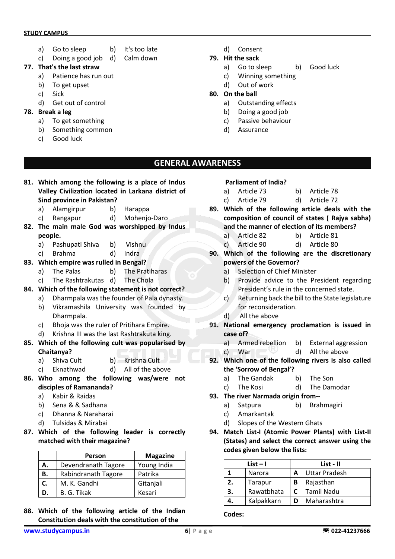#### **STUDY CAMPUS**

- a) Go to sleep b) It's too late
- c) Doing a good job d) Calm down
- **77. That's the last straw** 
	- a) Patience has run out
	- b) To get upset
	- c) Sick
		- d) Get out of control
- **78. Break a leg** 
	- a) To get something
	- b) Something common
	- c) Good luck
- d) Consent
- **79. Hit the sack**
	- a) Go to sleep b) Good luck
	- c) Winning something
	- d) Out of work
- **80. On the ball**
	- a) Outstanding effects
	- b) Doing a good job
	- c) Passive behaviour
	- d) Assurance

## **GENERAL AWARENESS**

- **81. Which among the following is a place of Indus Valley Civilization located in Larkana district of Sind province in Pakistan?**
	- a) Alamgirpur b) Harappa
	- c) Rangapur d) Mohenjo-Daro
- **82. The main male God was worshipped by Indus people.**
	- a) Pashupati Shiva b) Vishnu
	- c) Brahma d) Indra
- **83. Which empire was rulled in Bengal?**
	- a) The Palas b) The Pratiharas
	- c) The Rashtrakutas d) The Chola
- **84. Which of the following statement is not correct?**
	- a) Dharmpala was the founder of Pala dynasty.
		- b) Vikramashila University was founded by Dharmpala.
		- c) Bhoja was the ruler of Pritihara Empire.
		- d) Krishna III was the last Rashtrakuta king.
- **85. Which of the following cult was popularised by Chaitanya?**
	- a) Shiva Cult b) Krishna Cult
	- c) Eknathwad d) All of the above
- **86. Who among the following was/were not disciples of Ramananda?**
	- a) Kabir & Raidas
	- b) Sena & & Sadhana
	- c) Dhanna & Naraharai
	- d) Tulsidas & Mirabai
- **87. Which of the following leader is correctly matched with their magazine?**

|    | Person              | <b>Magazine</b> |
|----|---------------------|-----------------|
| Α. | Devendranath Tagore | Young India     |
| В. | Rabindranath Tagore | Patrika         |
| C. | M. K. Gandhi        | Gitanjali       |
| D. | B. G. Tikak         | Kesari          |

**88. Which of the following article of the Indian Constitution deals with the constitution of the**

#### **Parliament of India?**

- a) Article 73 b) Article 78
- c) Article 79 d) Article 72
- **89. Which of the following article deals with the composition of council of states ( Rajya sabha) and the manner of election of its members?**
	- a) Article 82 b) Article 81
	- c) Article 90 d) Article 80
- **90. Which of the following are the discretionary powers of the Governor?**
	- a) Selection of Chief Minister
	- b) Provide advice to the President regarding President's rule in the concerned state.
	- c) Returning back the bill to the State legislature for reconsideration.
	- d) All the above
- **91. National emergency proclamation is issued in case of?**
	- a) Armed rebellion b) External aggression
	- c) War d) All the above
- **92. Which one of the following rivers is also called the 'Sorrow of Bengal'?**
	- a) The Gandak b) The Son
	- c) The Kosi d) The Damodar
- **93. The river Narmada origin from-**
	- a) Satpura b) Brahmagiri
	- c) Amarkantak
	- d) Slopes of the Western Ghats
- **94. Match List-I (Atomic Power Plants) with List-II (States) and select the correct answer using the codes given below the lists:**

| $List - I$ |            |    | List - II     |  |  |
|------------|------------|----|---------------|--|--|
|            | Narora     | А  | Uttar Pradesh |  |  |
| 2.         | Tarapur    | В  | Rajasthan     |  |  |
| З.         | Rawatbhata | C. | Tamil Nadu    |  |  |
|            | Kalpakkarn | D  | Maharashtra   |  |  |

**Codes:**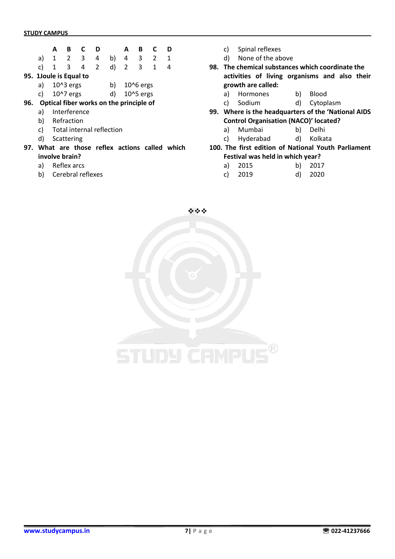**95.** 

|    | А |                    |   | D |              |   | в         | D |
|----|---|--------------------|---|---|--------------|---|-----------|---|
| a) |   | 2                  | 3 |   | b)           |   | 3         |   |
| C) |   | 3                  | 4 | 2 | $\mathsf{d}$ | 2 | 3         | 4 |
|    |   | 1Joule is Equal to |   |   |              |   |           |   |
| a) |   | $1043$ ergs        |   |   | b)           |   | 10^6 ergs |   |
| C) |   | 10^7 ergs          |   |   |              |   | 10^5 ergs |   |

- **96. Optical fiber works on the principle of**
	- a) Interference
	- b) Refraction
	- c) Total internal reflection
	- d) Scattering
- **97. What are those reflex actions called which involve brain?**
	- a) Reflex arcs
	- b) Cerebral reflexes

c) Spinal reflexes

- d) None of the above
- **98. The chemical substances which coordinate the activities of living organisms and also their growth are called:**
	- a) Hormones b) Blood
	- c) Sodium d) Cytoplasm
- **99. Where is the headquarters of the 'National AIDS Control Organisation (NACO)' located?**
	- a) Mumbai b) Delhi
	- c) Hyderabad d) Kolkata
- **100. The first edition of National Youth Parliament Festival was held in which year?** 
	- a) 2015 b) 2017
	- c) 2019 d) 2020

❖❖❖